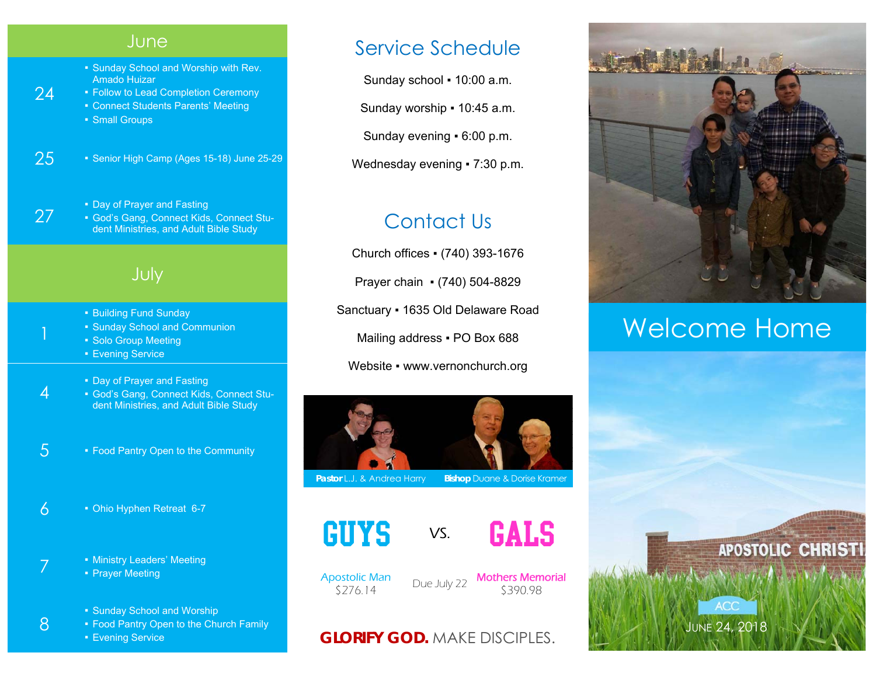## **June**

- Sunday School and Worship with Rev. Amado Huizar
- Follow to Lead Completion Ceremony **• Connect Students Parents' Meeting** 
	- Small Groups

24

27

1

4

8

- 
- 25 Senior High Camp (Ages 15-18) June 25-29
	- Day of Prayer and Fasting ▪ God's Gang, Connect Kids, Connect Student Ministries, and Adult Bible Study

# July

- Building Fund Sunday
- Sunday School and Communion
- Solo Group Meeting
- **Evening Service**
- Day of Prayer and Fasting
- God's Gang, Connect Kids, Connect Student Ministries, and Adult Bible Study
- $5$   **Food Pantry Open to the Community**
- $6 10$   **Ohio Hyphen Retreat 6-7**
- 7 **Example 3 F Ministry Leaders' Meeting** • Prayer Meeting
	- Sunday School and Worship
	- **Food Pantry Open to the Church Family**
	- Evening Service

# Service Schedule

Sunday school ▪ 10:00 a.m.

Sunday worship ▪ 10:45 a.m.

Sunday evening ▪ 6:00 p.m.

Wednesday evening • 7:30 p.m.

# Contact Us

Church offices ▪ (740) 393-1676 Prayer chain ▪ (740) 504-8829 Sanctuary ▪ 1635 Old Delaware Road Mailing address . PO Box 688 Website • www.vernonchurch.org



**Pastor L.J. & Andrea Harry Bishop Duane & Dorise Kramer** 





Apostolic Man

ostolic Man Due July 22 **Mothers Memorial**<br>\$276.14 Due July 22 \$390.98

## **GLORIFY GOD.** MAKE DISCIPLES.



# Welcome Home